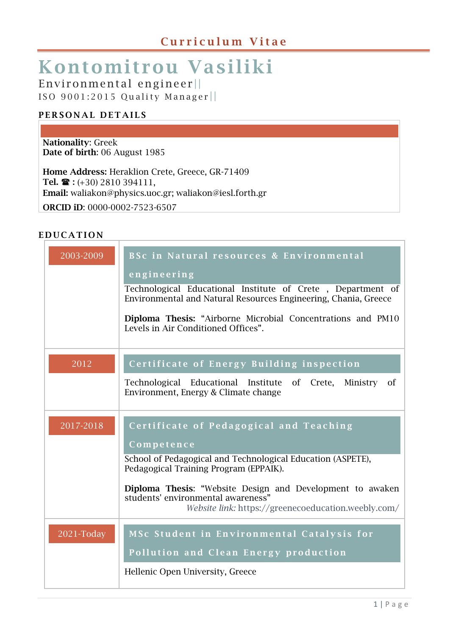# Kontomitrou Vasiliki

Environmental engineer ||

ISO  $9001:2015$  Quality Manager

#### PERSONAL DETAILS

Nationality: Greek Date of birth: 06 August 1985

Home Address: Heraklion Crete, Greece, GR-71409 Tel.  $\mathbf{\hat{z}}$  : (+30) 2810 394111, Email: [waliakon@physics.uoc.gr;](mailto:waliakon@physics.uoc.gr) [waliakon@iesl.forth.gr](mailto:waliakon@iesl.forth.gr) ORCID iD: 0000-0002-7523-6507

#### **EDUCATION**

| 2003-2009  | BSc in Natural resources & Environmental<br>engineering<br>Technological Educational Institute of Crete, Department of<br>Environmental and Natural Resources Engineering, Chania, Greece<br>Diploma Thesis: "Airborne Microbial Concentrations and PM10<br>Levels in Air Conditioned Offices". |
|------------|-------------------------------------------------------------------------------------------------------------------------------------------------------------------------------------------------------------------------------------------------------------------------------------------------|
| 2012       | Certificate of Energy Building inspection                                                                                                                                                                                                                                                       |
|            | Technological Educational Institute of Crete,<br>Ministry<br><sub>of</sub><br>Environment, Energy & Climate change                                                                                                                                                                              |
| 2017-2018  | Certificate of Pedagogical and Teaching<br>Competence                                                                                                                                                                                                                                           |
|            | School of Pedagogical and Technological Education (ASPETE),<br>Pedagogical Training Program (EPPAIK).                                                                                                                                                                                           |
|            | Diploma Thesis: "Website Design and Development to awaken<br>students' environmental awareness"<br>Website link: https://greenecoeducation.weebly.com/                                                                                                                                          |
| 2021-Today | MSc Student in Environmental Catalysis for<br>Pollution and Clean Energy production                                                                                                                                                                                                             |
|            | Hellenic Open University, Greece                                                                                                                                                                                                                                                                |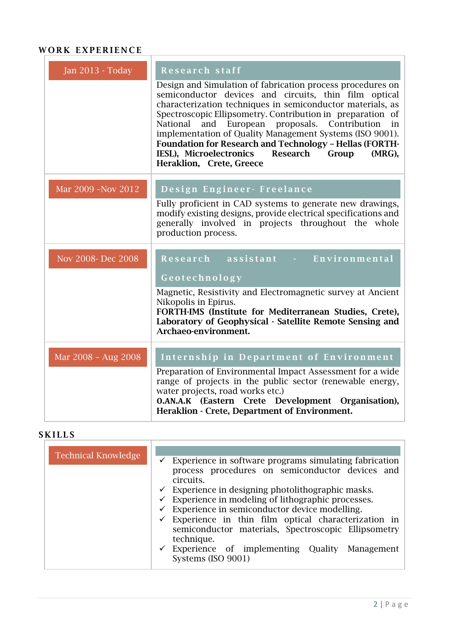### WORK EXPERIENCE

| <b>Jan 2013 - Today</b> | Research staff                                                                                                                                                                                                                                                                                                                                                                                                                                                                                                             |
|-------------------------|----------------------------------------------------------------------------------------------------------------------------------------------------------------------------------------------------------------------------------------------------------------------------------------------------------------------------------------------------------------------------------------------------------------------------------------------------------------------------------------------------------------------------|
|                         | Design and Simulation of fabrication process procedures on<br>semiconductor devices and circuits, thin film optical<br>characterization techniques in semiconductor materials, as<br>Spectroscopic Ellipsometry. Contribution in preparation of<br>National<br>and European proposals. Contribution<br>in<br>implementation of Quality Management Systems (ISO 9001).<br><b>Foundation for Research and Technology - Hellas (FORTH-</b><br>IESL), Microelectronics Research<br>Group<br>(MRG),<br>Heraklion, Crete, Greece |
| Mar 2009 -Nov 2012      | Design Engineer- Freelance                                                                                                                                                                                                                                                                                                                                                                                                                                                                                                 |
|                         | Fully proficient in CAD systems to generate new drawings,<br>modify existing designs, provide electrical specifications and<br>generally involved in projects throughout the whole<br>production process.                                                                                                                                                                                                                                                                                                                  |
| Nov 2008- Dec 2008      | Research assistant - Environmental                                                                                                                                                                                                                                                                                                                                                                                                                                                                                         |
|                         | Geotechnology                                                                                                                                                                                                                                                                                                                                                                                                                                                                                                              |
|                         | Magnetic, Resistivity and Electromagnetic survey at Ancient<br>Nikopolis in Epirus.<br>FORTH-IMS (Institute for Mediterranean Studies, Crete),<br>Laboratory of Geophysical - Satellite Remote Sensing and<br>Archaeo-environment.                                                                                                                                                                                                                                                                                         |
| Mar 2008 - Aug 2008     | Internship in Department of Environment                                                                                                                                                                                                                                                                                                                                                                                                                                                                                    |
|                         | Preparation of Environmental Impact Assessment for a wide<br>range of projects in the public sector (renewable energy,<br>water projects, road works etc.)<br><b>O.AN.A.K</b> (Eastern Crete Development Organisation),<br>Heraklion - Crete, Department of Environment.                                                                                                                                                                                                                                                   |

### **SKILLS**

| <b>Technical Knowledge</b> | $\checkmark$ Experience in software programs simulating fabrication<br>process procedures on semiconductor devices and<br>circuits.<br>$\checkmark$ Experience in designing photolithographic masks.<br>$\checkmark$ Experience in modeling of lithographic processes.<br>$\checkmark$ Experience in semiconductor device modelling.<br>$\checkmark$ Experience in thin film optical characterization in<br>semiconductor materials, Spectroscopic Ellipsometry<br>technique. |
|----------------------------|-------------------------------------------------------------------------------------------------------------------------------------------------------------------------------------------------------------------------------------------------------------------------------------------------------------------------------------------------------------------------------------------------------------------------------------------------------------------------------|
|                            | $\checkmark$ Experience of implementing Quality Management<br>Systems (ISO 9001)                                                                                                                                                                                                                                                                                                                                                                                              |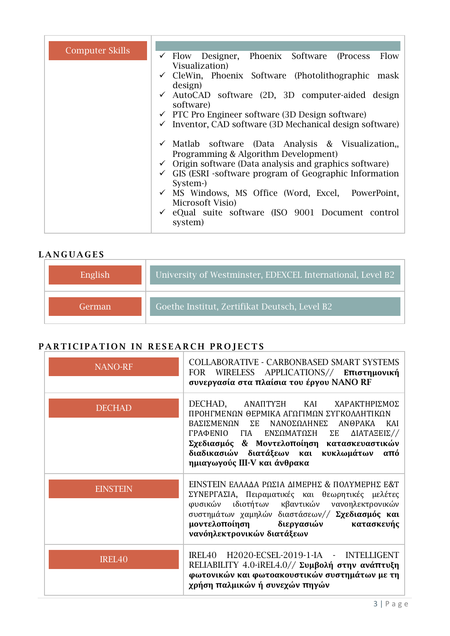| <b>Computer Skills</b> | $\checkmark$ Flow Designer, Phoenix Software (Process<br>Flow            |
|------------------------|--------------------------------------------------------------------------|
|                        | Visualization)                                                           |
|                        | $\checkmark$ CleWin, Phoenix Software (Photolithographic mask<br>design) |
|                        | $\checkmark$ AutoCAD software (2D, 3D computer-aided design              |
|                        | software)                                                                |
|                        | $\checkmark$ PTC Pro Engineer software (3D Design software)              |
|                        | $\checkmark$ Inventor, CAD software (3D Mechanical design software)      |
|                        |                                                                          |
|                        | $\checkmark$ Matlab software (Data Analysis & Visualization,             |
|                        | Programming & Algorithm Development)                                     |
|                        | $\checkmark$ Origin software (Data analysis and graphics software)       |
|                        | $\checkmark$ GIS (ESRI -software program of Geographic Information       |
|                        | System-                                                                  |
|                        | $\checkmark$ MS Windows, MS Office (Word, Excel, PowerPoint,             |
|                        | Microsoft Visio)                                                         |
|                        | $\checkmark$ eQual suite software (ISO 9001 Document control             |
|                        | system)                                                                  |

### LANGUAGES

| English | University of Westminster, EDEXCEL International, Level B2 |
|---------|------------------------------------------------------------|
| German' | Goethe Institut, Zertifikat Deutsch, Level B2              |

# PARTICIPATION IN RESEARCH PROJECTS

| <b>NANO-RF</b>     | <b>COLLABORATIVE - CARBONBASED SMART SYSTEMS</b><br>FOR WIRELESS APPLICATIONS// Επιστημονική<br>συνεργασία στα πλαίσια του έργου NANO RF                                                                                                                                                                                          |
|--------------------|-----------------------------------------------------------------------------------------------------------------------------------------------------------------------------------------------------------------------------------------------------------------------------------------------------------------------------------|
| <b>DECHAD</b>      | DECHAD, ANAIITYEH<br>ΚΑΙ ΧΑΡΑΚΤΗΡΙΣΜΟΣ<br>ΠΡΟΗΓΜΕΝΩΝ ΘΕΡΜΙΚΑ ΑΓΩΓΙΜΩΝ ΣΥΓΚΟΛΛΗΤΙΚΩΝ<br>ΒΑΣΙΣΜΕΝΩΝ<br>$\Sigma$ E<br>ΝΑΝΟΣΩΛΗΝΕΣ<br><b>ANOPAKA</b><br>KAI<br>ΓΡΑΦΕΝΙΟ ΓΙΑ<br>ΕΝΣΩΜΑΤΩΣΗ ΣΕ<br>ΔΙΑΤΑΞΕΙΣ//<br>Σχεδιασμός & Μοντελοποίηση κατασκευαστικών<br>διαδικασιών διατάξεων και κυκλωμάτων από<br>ημιαγωγούς III-V και άνθρακα |
| <b>EINSTEIN</b>    | ΕΙΝΣΤΕΙΝ ΕΛΛΑΔΑ ΡΩΣΙΑ ΔΙΜΕΡΗΣ & ΠΟΛΥΜΕΡΗΣ Ε&Τ<br>ΣΥΝΕΡΓΑΣΙΑ, Πειραματικές και θεωρητικές μελέτες<br>ιδιοτήτων κβαντικών νανοηλεκτρονικών<br>φυσικών<br>συστημάτων χαμηλών διαστάσεων// Σχεδιασμός και<br>μοντελοποίηση διεργασιών<br>κατασκευής<br>νανόηλεκτρονικών διατάξεων                                                     |
| IREL <sub>40</sub> | H2020-ECSEL-2019-1-IA - INTELLIGENT<br>IREL40<br>RELIABILITY 4.0-iREL4.0// Συμβολή στην ανάπτυξη<br>φωτονικών και φωτοακουστικών συστημάτων με τη<br>χρήση παλμικών ή συνεχών πηγών                                                                                                                                               |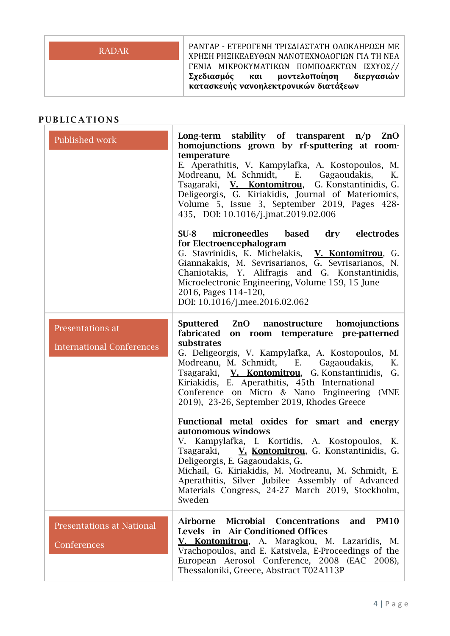| <b>RADAR</b> | ΡΑΝΤΑΡ - ΕΤΕΡΟΓΕΝΗ ΤΡΙΣΔΙΑΣΤΑΤΗ ΟΛΟΚΛΗΡΩΣΗ ΜΕ<br>ΧΡΗΣΗ ΡΗΞΙΚΕΛΕΥΘΩΝ ΝΑΝΟΤΕΧΝΟΛΟΓΙΩΝ ΓΙΑ ΤΗ ΝΕΑ |  |
|--------------|------------------------------------------------------------------------------------------------|--|
|              | ΓΕΝΙΑ ΜΙΚΡΟΚΥΜΑΤΙΚΩΝ ΠΟΜΠΟΔΕΚΤΩΝ ΙΣΧΥΟΣ//                                                      |  |
|              | Σχεδιασμός και μοντελοποίηση διεργασιών<br>κατασκευής νανοηλεκτρονικών διατάξεων               |  |

#### PUBLICATIONS

| Published work                                       | Long-term stability of transparent $n/p$ ZnO<br>homojunctions grown by rf-sputtering at room-<br>temperature<br>E. Aperathitis, V. Kampylafka, A. Kostopoulos, M.<br>Modreanu, M. Schmidt, E. Gagaoudakis,<br>К.<br>Tsagaraki, V. Kontomitrou, G. Konstantinidis, G.<br>Deligeorgis, G. Kiriakidis, Journal of Materiomics,<br>Volume 5, Issue 3, September 2019, Pages 428-<br>435, DOI: 10.1016/j.jmat.2019.02.006 |
|------------------------------------------------------|----------------------------------------------------------------------------------------------------------------------------------------------------------------------------------------------------------------------------------------------------------------------------------------------------------------------------------------------------------------------------------------------------------------------|
|                                                      | microneedles based dry electrodes<br>$SU-8$<br>for Electroencephalogram<br>G. Stavrinidis, K. Michelakis, V. Kontomitrou, G.<br>Giannakakis, M. Sevrisarianos, G. Sevrisarianos, N.<br>Chaniotakis, Y. Alifragis and G. Konstantinidis,<br>Microelectronic Engineering, Volume 159, 15 June<br>2016, Pages 114-120,<br>DOI: 10.1016/j.mee.2016.02.062                                                                |
| Presentations at<br><b>International Conferences</b> | Sputtered ZnO nanostructure homojunctions<br>fabricated<br>on room temperature pre-patterned<br>substrates<br>G. Deligeorgis, V. Kampylafka, A. Kostopoulos, M.<br>Modreanu, M. Schmidt, E. Gagaoudakis,<br>K.<br>Tsagaraki, V. Kontomitrou, G. Konstantinidis, G.<br>Kiriakidis, E. Aperathitis, 45th International<br>Conference on Micro & Nano Engineering (MNE<br>2019), 23-26, September 2019, Rhodes Greece   |
|                                                      | Functional metal oxides for smart and energy<br>autonomous windows<br>V. Kampylafka, I. Kortidis, A. Kostopoulos, K.<br>Tsagaraki, V. Kontomitrou, G. Konstantinidis, G.<br>Deligeorgis, E. Gagaoudakis, G.<br>Michail, G. Kiriakidis, M. Modreanu, M. Schmidt, E.<br>Aperathitis, Silver Jubilee Assembly of Advanced<br>Materials Congress, 24-27 March 2019, Stockholm,<br>Sweden                                 |
| <b>Presentations at National</b><br>Conferences      | Airborne<br>Microbial Concentrations<br>and<br><b>PM10</b><br>Levels in Air Conditioned Offices<br>V. Kontomitrou, A. Maragkou, M. Lazaridis, M.<br>Vrachopoulos, and E. Katsivela, E-Proceedings of the<br>European Aerosol Conference, 2008 (EAC 2008),<br>Thessaloniki, Greece, Abstract T02A113P                                                                                                                 |